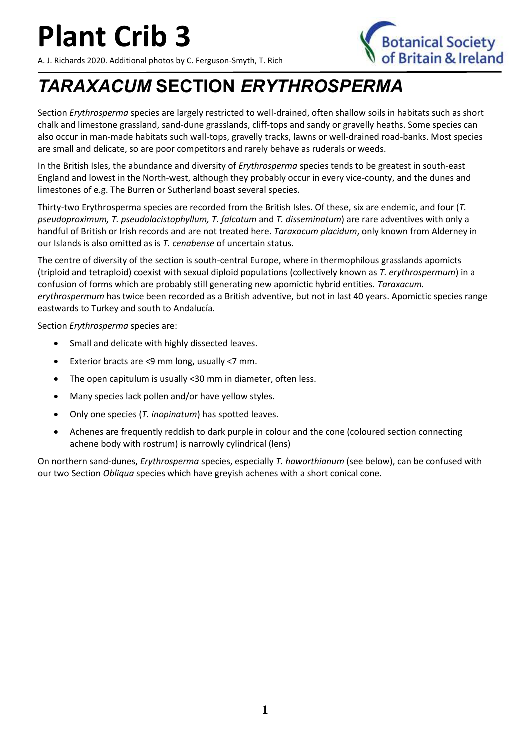A. J. Richards 2020. Additional photos by C. Ferguson-Smyth, T. Rich



#### *TARAXACUM* **SECTION** *ERYTHROSPERMA*

Section *Erythrosperma* species are largely restricted to well-drained, often shallow soils in habitats such as short chalk and limestone grassland, sand-dune grasslands, cliff-tops and sandy or gravelly heaths. Some species can also occur in man-made habitats such wall-tops, gravelly tracks, lawns or well-drained road-banks. Most species are small and delicate, so are poor competitors and rarely behave as ruderals or weeds.

In the British Isles, the abundance and diversity of *Erythrosperma* species tends to be greatest in south-east England and lowest in the North-west, although they probably occur in every vice-county, and the dunes and limestones of e.g. The Burren or Sutherland boast several species.

Thirty-two Erythrosperma species are recorded from the British Isles. Of these, six are endemic, and four (*T. pseudoproximum, T. pseudolacistophyllum, T. falcatum* and *T. disseminatum*) are rare adventives with only a handful of British or Irish records and are not treated here. *Taraxacum placidum*, only known from Alderney in our Islands is also omitted as is *T. cenabense* of uncertain status.

The centre of diversity of the section is south-central Europe, where in thermophilous grasslands apomicts (triploid and tetraploid) coexist with sexual diploid populations (collectively known as *T. erythrospermum*) in a confusion of forms which are probably still generating new apomictic hybrid entities. *Taraxacum. erythrospermum* has twice been recorded as a British adventive, but not in last 40 years. Apomictic species range eastwards to Turkey and south to Andalucía.

Section *Erythrosperma* species are:

- Small and delicate with highly dissected leaves.
- Exterior bracts are <9 mm long, usually <7 mm.
- The open capitulum is usually <30 mm in diameter, often less.
- Many species lack pollen and/or have yellow styles.
- Only one species (*T. inopinatum*) has spotted leaves.
- Achenes are frequently reddish to dark purple in colour and the cone (coloured section connecting achene body with rostrum) is narrowly cylindrical (lens)

On northern sand-dunes, *Erythrosperma* species, especially *T. haworthianum* (see below), can be confused with our two Section *Obliqua* species which have greyish achenes with a short conical cone.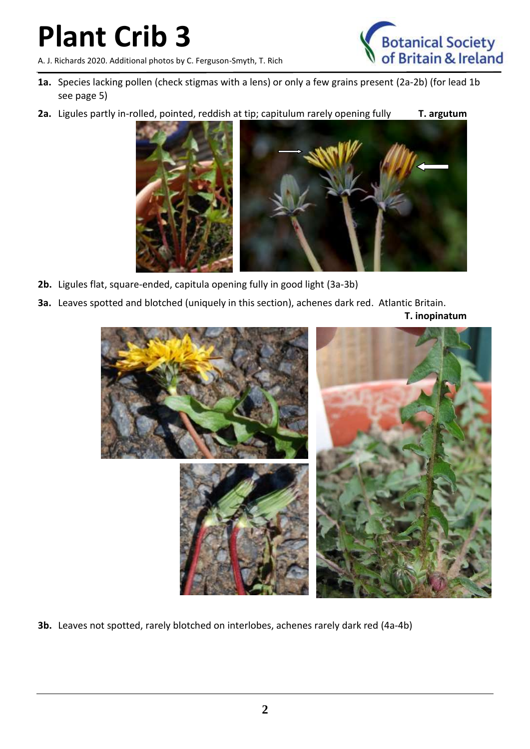A. J. Richards 2020. Additional photos by C. Ferguson-Smyth, T. Rich



- **1a.** Species lacking pollen (check stigmas with a lens) or only a few grains present (2a-2b) (for lead 1b see page 5)
- 2a. Ligules partly in-rolled, pointed, reddish at tip; capitulum rarely opening fully **T. argutum**



- **2b.** Ligules flat, square-ended, capitula opening fully in good light (3a-3b)
- **3a.** Leaves spotted and blotched (uniquely in this section), achenes dark red. Atlantic Britain.

**T. inopinatum**



**3b.** Leaves not spotted, rarely blotched on interlobes, achenes rarely dark red (4a-4b)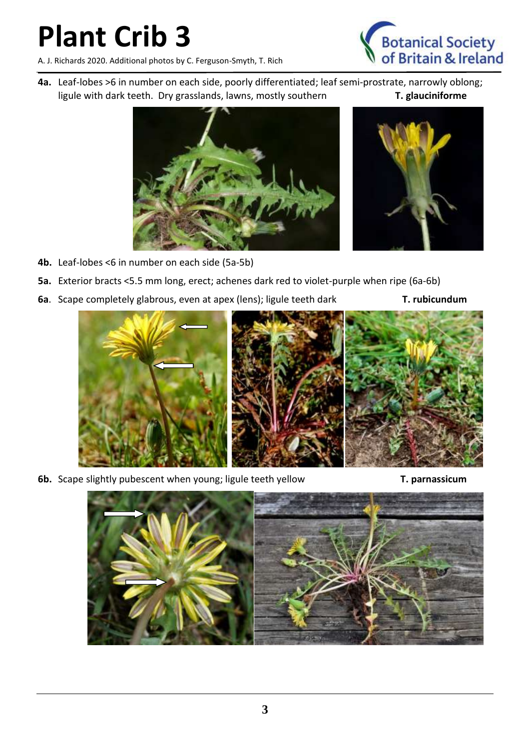A. J. Richards 2020. Additional photos by C. Ferguson-Smyth, T. Rich



**4a.** Leaf-lobes >6 in number on each side, poorly differentiated; leaf semi-prostrate, narrowly oblong; ligule with dark teeth. Dry grasslands, lawns, mostly southern **T. glauciniforme**





- **4b.** Leaf-lobes <6 in number on each side (5a-5b)
- **5a.** Exterior bracts <5.5 mm long, erect; achenes dark red to violet-purple when ripe (6a-6b)
- **6a**. Scape completely glabrous, even at apex (lens); ligule teeth dark **T. rubicundum**



**6b.** Scape slightly pubescent when young; ligule teeth yellow **T. parnassicum**

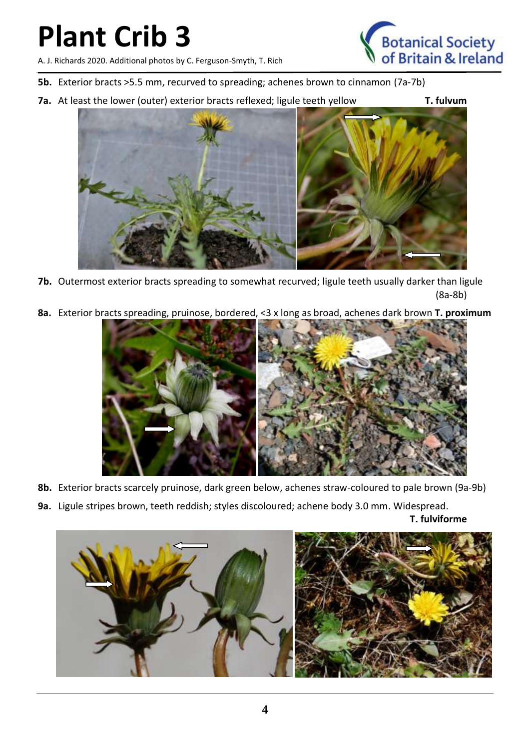A. J. Richards 2020. Additional photos by C. Ferguson-Smyth, T. Rich

- **5b.** Exterior bracts >5.5 mm, recurved to spreading; achenes brown to cinnamon (7a-7b)
- **7a.** At least the lower (outer) exterior bracts reflexed; ligule teeth yellow **T. fulvum**



**7b.** Outermost exterior bracts spreading to somewhat recurved; ligule teeth usually darker than ligule (8a-8b)

**8a.** Exterior bracts spreading, pruinose, bordered, <3 x long as broad, achenes dark brown **T. proximum**



- **8b.** Exterior bracts scarcely pruinose, dark green below, achenes straw-coloured to pale brown (9a-9b)
- **9a.** Ligule stripes brown, teeth reddish; styles discoloured; achene body 3.0 mm. Widespread.

**T. fulviforme**



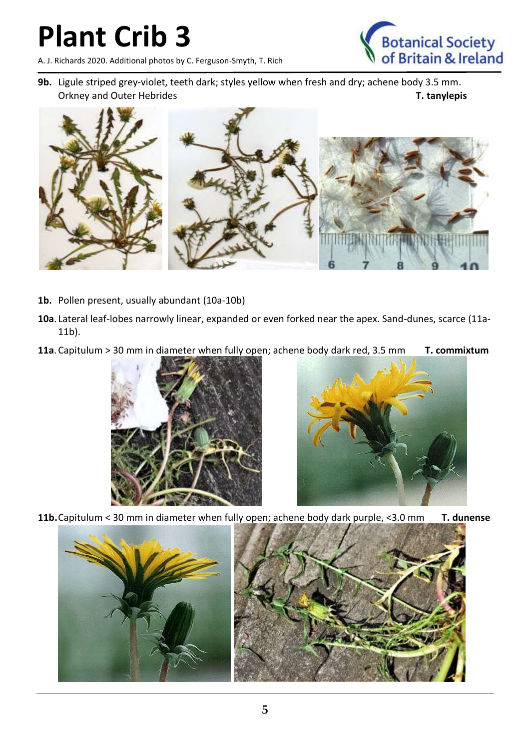A. J. Richards 2020. Additional photos by C. Ferguson-Smyth, T. Rich



**9b.** Ligule striped grey-violet, teeth dark; styles yellow when fresh and dry; achene body 3.5 mm. Orkney and Outer Hebrides **T. tanylepis**



- **1b.** Pollen present, usually abundant (10a-10b)
- **10a**. Lateral leaf-lobes narrowly linear, expanded or even forked near the apex. Sand-dunes, scarce (11a-11b).
- **11a**.Capitulum > 30 mm in diameter when fully open; achene body dark red, 3.5 mm **T. commixtum**





**11b.**Capitulum < 30 mm in diameter when fully open; achene body dark purple, <3.0 mm **T. dunense**

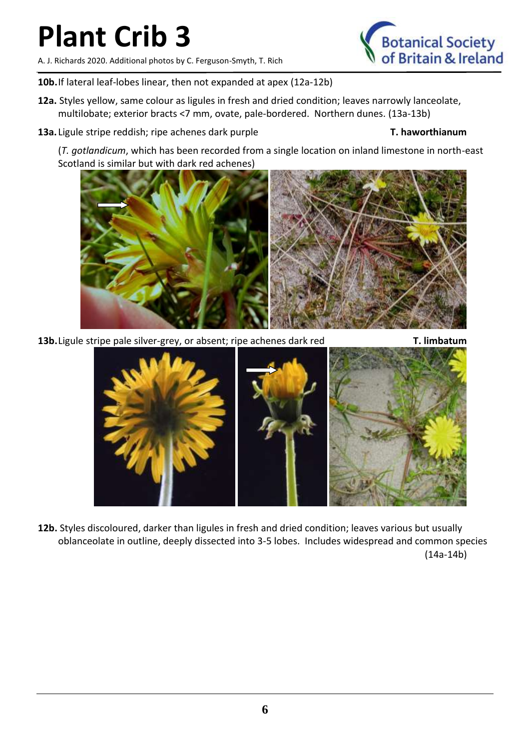A. J. Richards 2020. Additional photos by C. Ferguson-Smyth, T. Rich



- **12a.** Styles yellow, same colour as ligules in fresh and dried condition; leaves narrowly lanceolate, multilobate; exterior bracts <7 mm, ovate, pale-bordered. Northern dunes. (13a-13b)
- **13a.** Ligule stripe reddish; ripe achenes dark purple **T. haworthianum**

(*T. gotlandicum*, which has been recorded from a single location on inland limestone in north-east Scotland is similar but with dark red achenes)

**13b.** Ligule stripe pale silver-grey, or absent; ripe achenes dark red **T. limbatum** 

**12b.** Styles discoloured, darker than ligules in fresh and dried condition; leaves various but usually oblanceolate in outline, deeply dissected into 3-5 lobes. Includes widespread and common species (14a-14b)



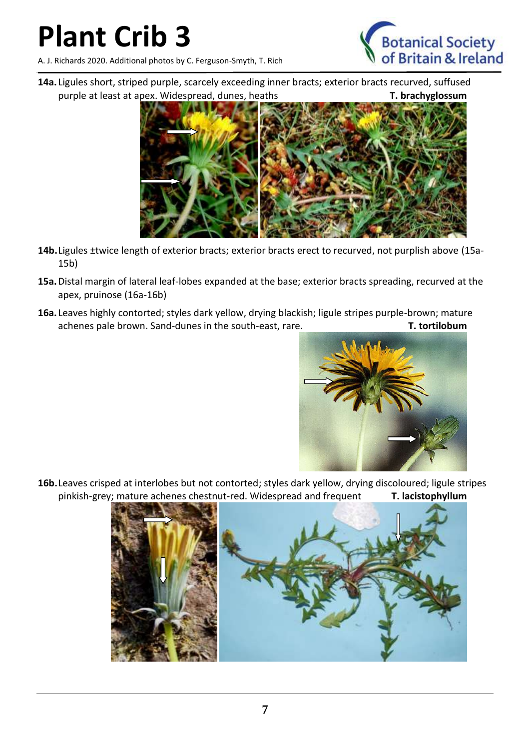A. J. Richards 2020. Additional photos by C. Ferguson-Smyth, T. Rich



**14a.** Ligules short, striped purple, scarcely exceeding inner bracts; exterior bracts recurved, suffused purple at least at apex. Widespread, dunes, heaths **T. brachyglossum** 



- **14b.**Ligules ±twice length of exterior bracts; exterior bracts erect to recurved, not purplish above (15a-15b)
- **15a.**Distal margin of lateral leaf-lobes expanded at the base; exterior bracts spreading, recurved at the apex, pruinose (16a-16b)
- **16a.** Leaves highly contorted; styles dark yellow, drying blackish; ligule stripes purple-brown; mature achenes pale brown. Sand-dunes in the south-east, rare. **T. tortilobum**



**16b.**Leaves crisped at interlobes but not contorted; styles dark yellow, drying discoloured; ligule stripes pinkish-grey; mature achenes chestnut-red. Widespread and frequent **T. lacistophyllum**

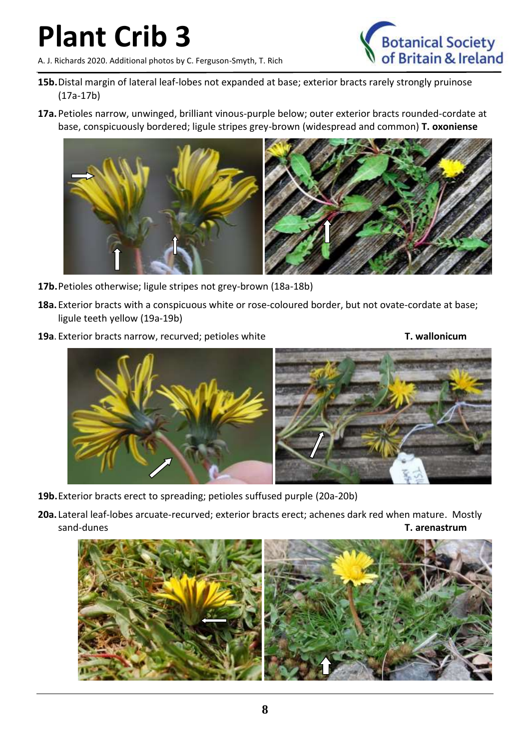A. J. Richards 2020. Additional photos by C. Ferguson-Smyth, T. Rich



- **15b.**Distal margin of lateral leaf-lobes not expanded at base; exterior bracts rarely strongly pruinose (17a-17b)
- **17a.**Petioles narrow, unwinged, brilliant vinous-purple below; outer exterior bracts rounded-cordate at base, conspicuously bordered; ligule stripes grey-brown (widespread and common) **T. oxoniense**



- **17b.**Petioles otherwise; ligule stripes not grey-brown (18a-18b)
- **18a.**Exterior bracts with a conspicuous white or rose-coloured border, but not ovate-cordate at base; ligule teeth yellow (19a-19b)
- **19a**. Exterior bracts narrow, recurved; petioles white **T. wallonicum**



- **19b.**Exterior bracts erect to spreading; petioles suffused purple (20a-20b)
- **20a.** Lateral leaf-lobes arcuate-recurved; exterior bracts erect; achenes dark red when mature. Mostly sand-dunes **T. arenastrum**

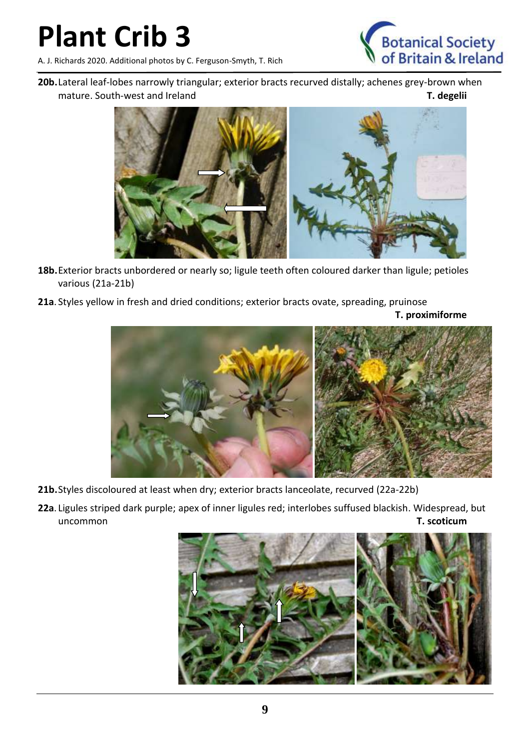A. J. Richards 2020. Additional photos by C. Ferguson-Smyth, T. Rich



**20b.**Lateral leaf-lobes narrowly triangular; exterior bracts recurved distally; achenes grey-brown when mature. South-west and Ireland **T. degelii** 



- **18b.**Exterior bracts unbordered or nearly so; ligule teeth often coloured darker than ligule; petioles various (21a-21b)
- **21a**. Styles yellow in fresh and dried conditions; exterior bracts ovate, spreading, pruinose

**T. proximiforme**



- **21b.**Styles discoloured at least when dry; exterior bracts lanceolate, recurved (22a-22b)
- **22a**. Ligules striped dark purple; apex of inner ligules red; interlobes suffused blackish. Widespread, but uncommon **T. scoticum**

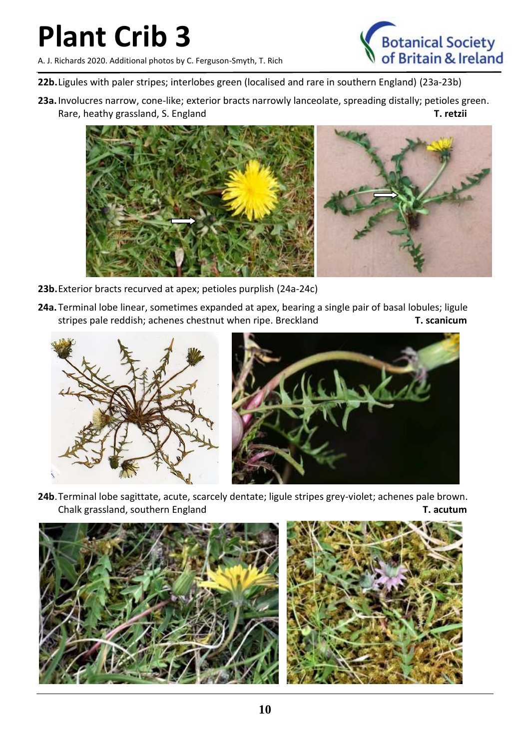A. J. Richards 2020. Additional photos by C. Ferguson-Smyth, T. Rich



- **22b.**Ligules with paler stripes; interlobes green (localised and rare in southern England) (23a-23b)
- **23a.**Involucres narrow, cone-like; exterior bracts narrowly lanceolate, spreading distally; petioles green. Rare, heathy grassland, S. England **T. retzii**



- **23b.**Exterior bracts recurved at apex; petioles purplish (24a-24c)
- **24a.**Terminal lobe linear, sometimes expanded at apex, bearing a single pair of basal lobules; ligule stripes pale reddish; achenes chestnut when ripe. Breckland **T. scanicum**





**24b**.Terminal lobe sagittate, acute, scarcely dentate; ligule stripes grey-violet; achenes pale brown. Chalk grassland, southern England **T. acutum**